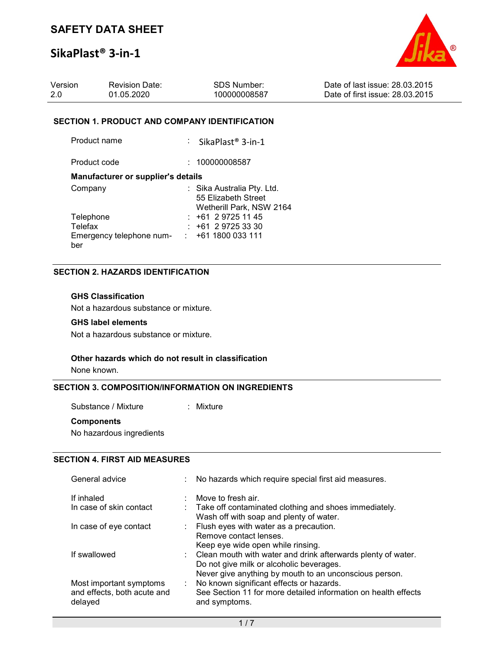

| Version | <b>Revision Date:</b> | SDS Number:  | Date of last issue: 28,03,2015  |
|---------|-----------------------|--------------|---------------------------------|
| -2.0    | 01.05.2020            | 100000008587 | Date of first issue: 28.03.2015 |

#### SECTION 1. PRODUCT AND COMPANY IDENTIFICATION

| Product name                                            | : SikaPlast® 3-in-1                                                           |
|---------------------------------------------------------|-------------------------------------------------------------------------------|
| Product code                                            | : 100000008587                                                                |
| <b>Manufacturer or supplier's details</b>               |                                                                               |
| Company                                                 | : Sika Australia Pty. Ltd.<br>55 Elizabeth Street<br>Wetherill Park, NSW 2164 |
| Telephone<br>Telefax<br>Emergency telephone num-<br>ber | $: +61297251145$<br>$: +61297253330$<br>$\div$ +61 1800 033 111               |

## SECTION 2. HAZARDS IDENTIFICATION

#### GHS Classification

Not a hazardous substance or mixture.

### GHS label elements

Not a hazardous substance or mixture.

#### Other hazards which do not result in classification

None known.

#### SECTION 3. COMPOSITION/INFORMATION ON INGREDIENTS

Substance / Mixture : Mixture

#### **Components**

No hazardous ingredients

# SECTION 4. FIRST AID MEASURES

| General advice                                                    | ÷. | No hazards which require special first aid measures.                                                                                                                 |
|-------------------------------------------------------------------|----|----------------------------------------------------------------------------------------------------------------------------------------------------------------------|
| If inhaled<br>In case of skin contact                             |    | Move to fresh air.<br>: Take off contaminated clothing and shoes immediately.<br>Wash off with soap and plenty of water.                                             |
| In case of eye contact                                            |    | : Flush eyes with water as a precaution.<br>Remove contact lenses.<br>Keep eye wide open while rinsing.                                                              |
| If swallowed                                                      |    | : Clean mouth with water and drink afterwards plenty of water.<br>Do not give milk or alcoholic beverages.<br>Never give anything by mouth to an unconscious person. |
| Most important symptoms<br>and effects, both acute and<br>delayed | ÷. | No known significant effects or hazards.<br>See Section 11 for more detailed information on health effects<br>and symptoms.                                          |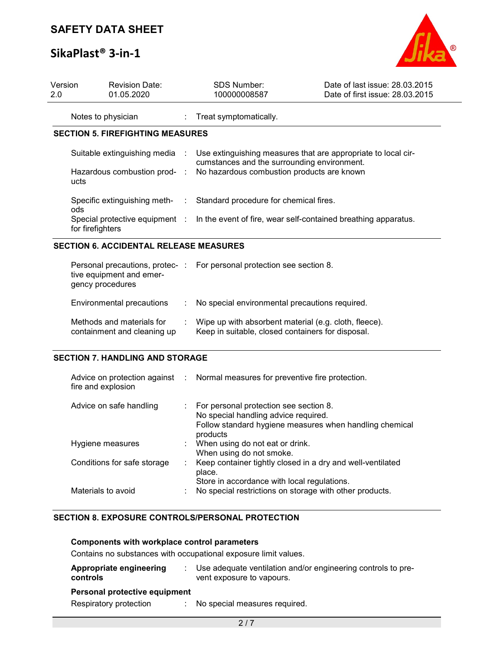# SAFETY DATA SHEET

# SikaPlast® 3-in-1



| Version<br>2.0 | <b>Revision Date:</b><br>01.05.2020           |                           | <b>SDS Number:</b><br>100000008587                                     | Date of last issue: 28.03.2015<br>Date of first issue: 28.03.2015                             |
|----------------|-----------------------------------------------|---------------------------|------------------------------------------------------------------------|-----------------------------------------------------------------------------------------------|
|                | Notes to physician                            |                           | : Treat symptomatically.                                               |                                                                                               |
|                | <b>SECTION 5. FIREFIGHTING MEASURES</b>       |                           |                                                                        |                                                                                               |
|                | Suitable extinguishing media :                |                           | cumstances and the surrounding environment.                            | Use extinguishing measures that are appropriate to local cir-                                 |
| ucts           | Hazardous combustion prod- :                  |                           | No hazardous combustion products are known                             |                                                                                               |
| ods            | Specific extinguishing meth-                  | $\mathbb{R}^{\mathbb{Z}}$ | Standard procedure for chemical fires.                                 |                                                                                               |
|                | for firefighters                              |                           |                                                                        | Special protective equipment : In the event of fire, wear self-contained breathing apparatus. |
|                | <b>SECTION 6. ACCIDENTAL RELEASE MEASURES</b> |                           |                                                                        |                                                                                               |
|                | tive equipment and emer-                      |                           | Personal precautions, protec- : For personal protection see section 8. |                                                                                               |

| gency procedures                                         |                                                                                                            |
|----------------------------------------------------------|------------------------------------------------------------------------------------------------------------|
| Environmental precautions                                | : No special environmental precautions required.                                                           |
| Methods and materials for<br>containment and cleaning up | Wipe up with absorbent material (e.g. cloth, fleece).<br>Keep in suitable, closed containers for disposal. |

## SECTION 7. HANDLING AND STORAGE

| fire and explosion          | Advice on protection against : Normal measures for preventive fire protection.                                                                          |
|-----------------------------|---------------------------------------------------------------------------------------------------------------------------------------------------------|
| Advice on safe handling     | : For personal protection see section 8.<br>No special handling advice required.<br>Follow standard hygiene measures when handling chemical<br>products |
| Hygiene measures            | : When using do not eat or drink.<br>When using do not smoke.                                                                                           |
| Conditions for safe storage | : Keep container tightly closed in a dry and well-ventilated<br>place.<br>Store in accordance with local regulations.                                   |
| Materials to avoid          | No special restrictions on storage with other products.                                                                                                 |

# SECTION 8. EXPOSURE CONTROLS/PERSONAL PROTECTION

# Components with workplace control parameters

Contains no substances with occupational exposure limit values.

| <b>Appropriate engineering</b><br>controls              | Use adequate ventilation and/or engineering controls to pre-<br>vent exposure to vapours. |
|---------------------------------------------------------|-------------------------------------------------------------------------------------------|
| Personal protective equipment<br>Respiratory protection | : No special measures required.                                                           |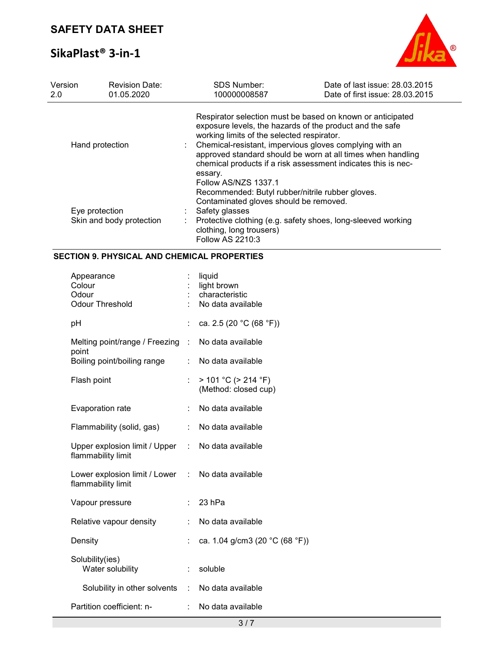

| Version<br>2.0                                                | <b>Revision Date:</b><br>01.05.2020 | <b>SDS Number:</b><br>100000008587                                                                                                                           | Date of last issue: 28.03.2015<br>Date of first issue: 28.03.2015                                                                                                                                                                                                                                                 |
|---------------------------------------------------------------|-------------------------------------|--------------------------------------------------------------------------------------------------------------------------------------------------------------|-------------------------------------------------------------------------------------------------------------------------------------------------------------------------------------------------------------------------------------------------------------------------------------------------------------------|
| Hand protection<br>Eye protection<br>Skin and body protection |                                     | working limits of the selected respirator.<br>essary.<br>Follow AS/NZS 1337.1                                                                                | Respirator selection must be based on known or anticipated<br>exposure levels, the hazards of the product and the safe<br>Chemical-resistant, impervious gloves complying with an<br>approved standard should be worn at all times when handling<br>chemical products if a risk assessment indicates this is nec- |
|                                                               |                                     | Recommended: Butyl rubber/nitrile rubber gloves.<br>Contaminated gloves should be removed.<br>Safety glasses<br>clothing, long trousers)<br>Follow AS 2210:3 | Protective clothing (e.g. safety shoes, long-sleeved working                                                                                                                                                                                                                                                      |

# SECTION 9. PHYSICAL AND CHEMICAL PROPERTIES

| Appearance<br>Colour<br>Odour<br><b>Odour Threshold</b>                 |    | liquid<br>light brown<br>characteristic<br>No data available |
|-------------------------------------------------------------------------|----|--------------------------------------------------------------|
| рH                                                                      | ÷  | ca. 2.5 (20 °C (68 °F))                                      |
| Melting point/range / Freezing :<br>point                               |    | No data available                                            |
| Boiling point/boiling range                                             | ÷. | No data available                                            |
| Flash point                                                             |    | $> 101 °C$ ( $> 214 °F$ )<br>(Method: closed cup)            |
| Evaporation rate                                                        | ÷. | No data available                                            |
| Flammability (solid, gas)                                               |    | No data available                                            |
| Upper explosion limit / Upper : No data available<br>flammability limit |    |                                                              |
| Lower explosion limit / Lower : No data available<br>flammability limit |    |                                                              |
| Vapour pressure                                                         |    | 23 hPa                                                       |
| Relative vapour density                                                 | ÷  | No data available                                            |
| Density                                                                 |    | ca. 1.04 g/cm3 (20 °C (68 °F))                               |
| Solubility(ies)<br>Water solubility                                     | ÷. | soluble                                                      |
| Solubility in other solvents                                            |    | : No data available                                          |
| Partition coefficient: n-                                               | t. | No data available                                            |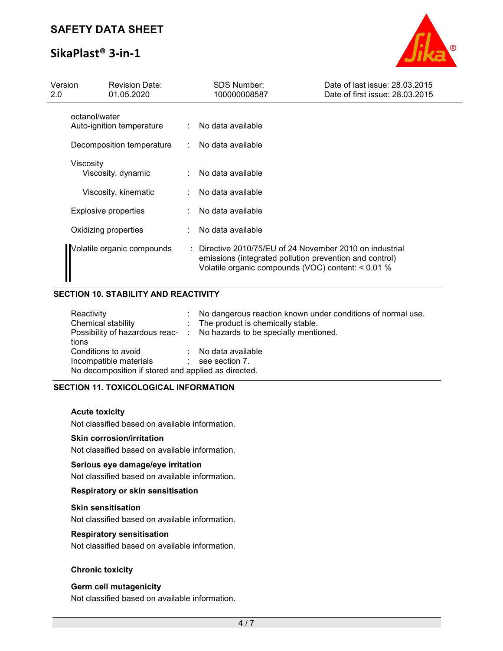

| Version<br>2.0 | <b>Revision Date:</b><br>01.05.2020        | SDS Number:<br>100000008587                                                                                                                                             | Date of last issue: 28.03.2015<br>Date of first issue: 28.03.2015 |
|----------------|--------------------------------------------|-------------------------------------------------------------------------------------------------------------------------------------------------------------------------|-------------------------------------------------------------------|
|                | octanol/water<br>Auto-ignition temperature | No data available                                                                                                                                                       |                                                                   |
|                | Decomposition temperature                  | No data available                                                                                                                                                       |                                                                   |
|                | Viscosity<br>Viscosity, dynamic            | No data available                                                                                                                                                       |                                                                   |
|                | Viscosity, kinematic                       | No data available                                                                                                                                                       |                                                                   |
|                | Explosive properties                       | No data available                                                                                                                                                       |                                                                   |
|                | Oxidizing properties                       | No data available                                                                                                                                                       |                                                                   |
|                | Volatile organic compounds                 | Directive 2010/75/EU of 24 November 2010 on industrial<br>emissions (integrated pollution prevention and control)<br>Volatile organic compounds (VOC) content: < 0.01 % |                                                                   |

# SECTION 10. STABILITY AND REACTIVITY

| Reactivity                                          |  | : No dangerous reaction known under conditions of normal use.          |  |  |  |
|-----------------------------------------------------|--|------------------------------------------------------------------------|--|--|--|
| Chemical stability                                  |  | : The product is chemically stable.                                    |  |  |  |
|                                                     |  | Possibility of hazardous reac- : No hazards to be specially mentioned. |  |  |  |
| tions                                               |  |                                                                        |  |  |  |
| Conditions to avoid                                 |  | : No data available                                                    |  |  |  |
| Incompatible materials                              |  | $\therefore$ see section 7.                                            |  |  |  |
| No decomposition if stored and applied as directed. |  |                                                                        |  |  |  |
|                                                     |  |                                                                        |  |  |  |

# SECTION 11. TOXICOLOGICAL INFORMATION

#### Acute toxicity

Not classified based on available information.

#### Skin corrosion/irritation

Not classified based on available information.

#### Serious eye damage/eye irritation

Not classified based on available information.

### Respiratory or skin sensitisation

### Skin sensitisation

Not classified based on available information.

#### Respiratory sensitisation

Not classified based on available information.

### Chronic toxicity

### Germ cell mutagenicity

Not classified based on available information.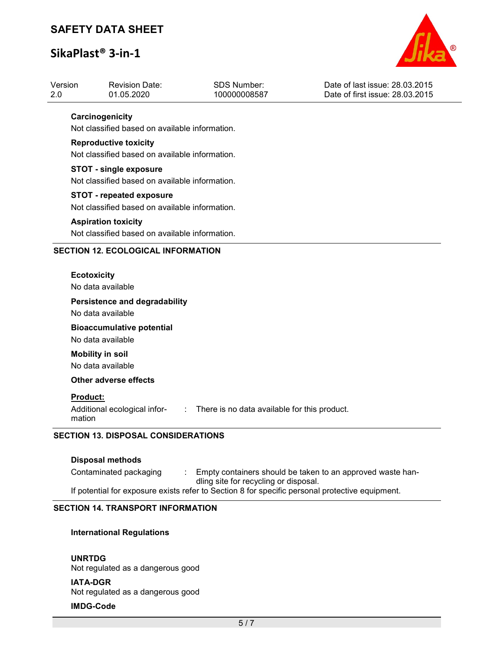# SAFETY DATA SHEET

# SikaPlast® 3-in-1



| Version<br>2.0 | <b>Revision Date:</b><br>01.05.2020                                                             | <b>SDS Number:</b><br>100000008587           | Date of last issue: 28.03.2015<br>Date of first issue: 28.03.2015 |  |  |  |  |  |
|----------------|-------------------------------------------------------------------------------------------------|----------------------------------------------|-------------------------------------------------------------------|--|--|--|--|--|
|                | Carcinogenicity<br>Not classified based on available information.                               |                                              |                                                                   |  |  |  |  |  |
|                | <b>Reproductive toxicity</b><br>Not classified based on available information.                  |                                              |                                                                   |  |  |  |  |  |
|                | <b>STOT - single exposure</b><br>Not classified based on available information.                 |                                              |                                                                   |  |  |  |  |  |
|                | <b>STOT - repeated exposure</b><br>Not classified based on available information.               |                                              |                                                                   |  |  |  |  |  |
|                | <b>Aspiration toxicity</b><br>Not classified based on available information.                    |                                              |                                                                   |  |  |  |  |  |
|                | <b>SECTION 12. ECOLOGICAL INFORMATION</b>                                                       |                                              |                                                                   |  |  |  |  |  |
|                | <b>Ecotoxicity</b><br>No data available                                                         |                                              |                                                                   |  |  |  |  |  |
|                | <b>Persistence and degradability</b><br>No data available                                       |                                              |                                                                   |  |  |  |  |  |
|                | <b>Bioaccumulative potential</b><br>No data available                                           |                                              |                                                                   |  |  |  |  |  |
|                | <b>Mobility in soil</b><br>No data available                                                    |                                              |                                                                   |  |  |  |  |  |
|                | Other adverse effects                                                                           |                                              |                                                                   |  |  |  |  |  |
|                | Product:<br>Additional ecological infor-<br>$\sim$ 100 $\pm$<br>mation                          | There is no data available for this product. |                                                                   |  |  |  |  |  |
|                | <b>SECTION 13. DISPOSAL CONSIDERATIONS</b>                                                      |                                              |                                                                   |  |  |  |  |  |
|                | <b>Disposal methods</b>                                                                         |                                              |                                                                   |  |  |  |  |  |
|                | Contaminated packaging                                                                          | dling site for recycling or disposal.        | Empty containers should be taken to an approved waste han-        |  |  |  |  |  |
|                | If potential for exposure exists refer to Section 8 for specific personal protective equipment. |                                              |                                                                   |  |  |  |  |  |

# SECTION 14. TRANSPORT INFORMATION

# International Regulations

#### UNRTDG

Not regulated as a dangerous good

### IATA-DGR

Not regulated as a dangerous good

# IMDG-Code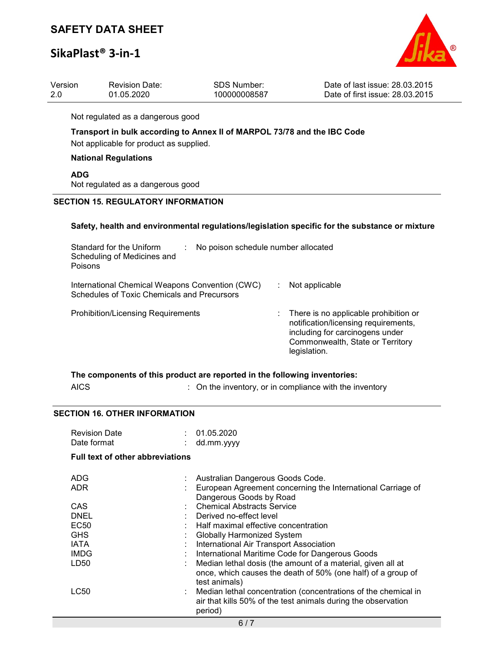# SAFETY DATA SHEET

# SikaPlast® 3-in-1



| Version | <b>Revision Date:</b> | SDS Number:  | Date of last issue: 28.03.2015  |
|---------|-----------------------|--------------|---------------------------------|
| 2.0     | 01.05.2020            | 100000008587 | Date of first issue: 28.03.2015 |
|         |                       |              |                                 |

Not regulated as a dangerous good

# Transport in bulk according to Annex II of MARPOL 73/78 and the IBC Code

Not applicable for product as supplied.

### National Regulations

ADG

Not regulated as a dangerous good

### SECTION 15. REGULATORY INFORMATION

#### Safety, health and environmental regulations/legislation specific for the substance or mixture

| Standard for the Uniform<br>No poison schedule number allocated<br>Scheduling of Medicines and<br><b>Poisons</b> |  |                                                                                                                                                                        |
|------------------------------------------------------------------------------------------------------------------|--|------------------------------------------------------------------------------------------------------------------------------------------------------------------------|
| International Chemical Weapons Convention (CWC)<br>Schedules of Toxic Chemicals and Precursors                   |  | Not applicable                                                                                                                                                         |
| <b>Prohibition/Licensing Requirements</b>                                                                        |  | : There is no applicable prohibition or<br>notification/licensing requirements,<br>including for carcinogens under<br>Commonwealth, State or Territory<br>legislation. |

|      | The components of this product are reported in the following inventories: |
|------|---------------------------------------------------------------------------|
| AICS | $\therefore$ On the inventory, or in compliance with the inventory        |

#### SECTION 16. OTHER INFORMATION

| ADG<br>: Australian Dangerous Goods Code.<br>European Agreement concerning the International Carriage of<br><b>ADR</b><br>Dangerous Goods by Road |
|---------------------------------------------------------------------------------------------------------------------------------------------------|
|                                                                                                                                                   |
|                                                                                                                                                   |
| : Chemical Abstracts Service<br><b>CAS</b>                                                                                                        |
| <b>DNEL</b><br>: Derived no-effect level                                                                                                          |
| <b>EC50</b><br>Half maximal effective concentration                                                                                               |
| <b>GHS</b><br><b>Globally Harmonized System</b>                                                                                                   |
| : International Air Transport Association<br><b>IATA</b>                                                                                          |
| <b>IMDG</b><br>: International Maritime Code for Dangerous Goods                                                                                  |
| Median lethal dosis (the amount of a material, given all at<br>LD50                                                                               |
| once, which causes the death of 50% (one half) of a group of<br>test animals)                                                                     |
| LC50<br>: Median lethal concentration (concentrations of the chemical in                                                                          |
| air that kills 50% of the test animals during the observation                                                                                     |
| period)                                                                                                                                           |